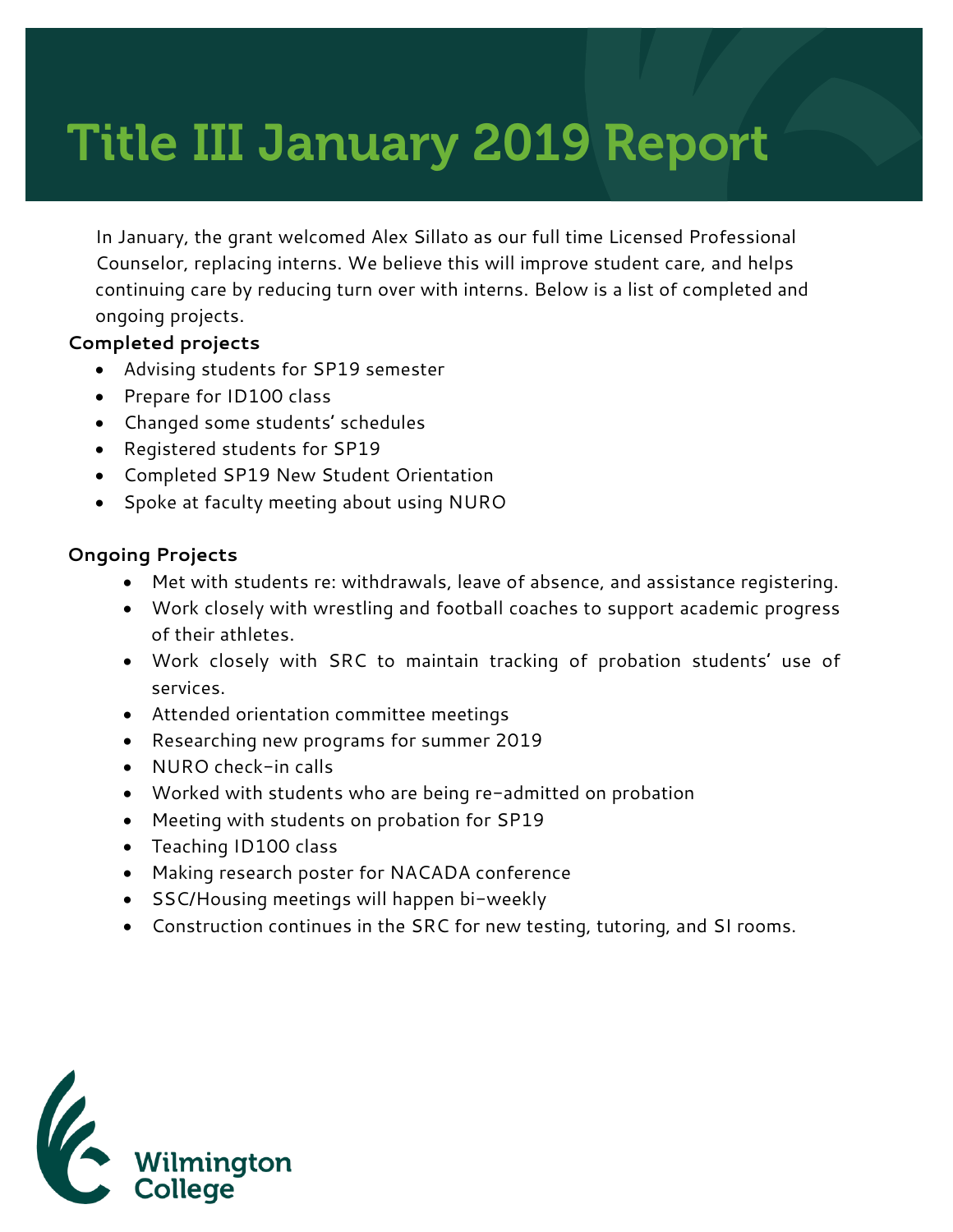# Title III January 2019 Report

In January, the grant welcomed Alex Sillato as our full time Licensed Professional Counselor, replacing interns. We believe this will improve student care, and helps continuing care by reducing turn over with interns. Below is a list of completed and ongoing projects.

### **Completed projects**

- Advising students for SP19 semester
- Prepare for ID100 class
- Changed some students' schedules
- Registered students for SP19
- Completed SP19 New Student Orientation
- Spoke at faculty meeting about using NURO

#### **Ongoing Projects**

- Met with students re: withdrawals, leave of absence, and assistance registering.
- Work closely with wrestling and football coaches to support academic progress of their athletes.
- Work closely with SRC to maintain tracking of probation students' use of services.
- Attended orientation committee meetings
- Researching new programs for summer 2019
- NURO check-in calls
- Worked with students who are being re-admitted on probation
- Meeting with students on probation for SP19
- Teaching ID100 class
- Making research poster for NACADA conference
- SSC/Housing meetings will happen bi-weekly
- Construction continues in the SRC for new testing, tutoring, and SI rooms.

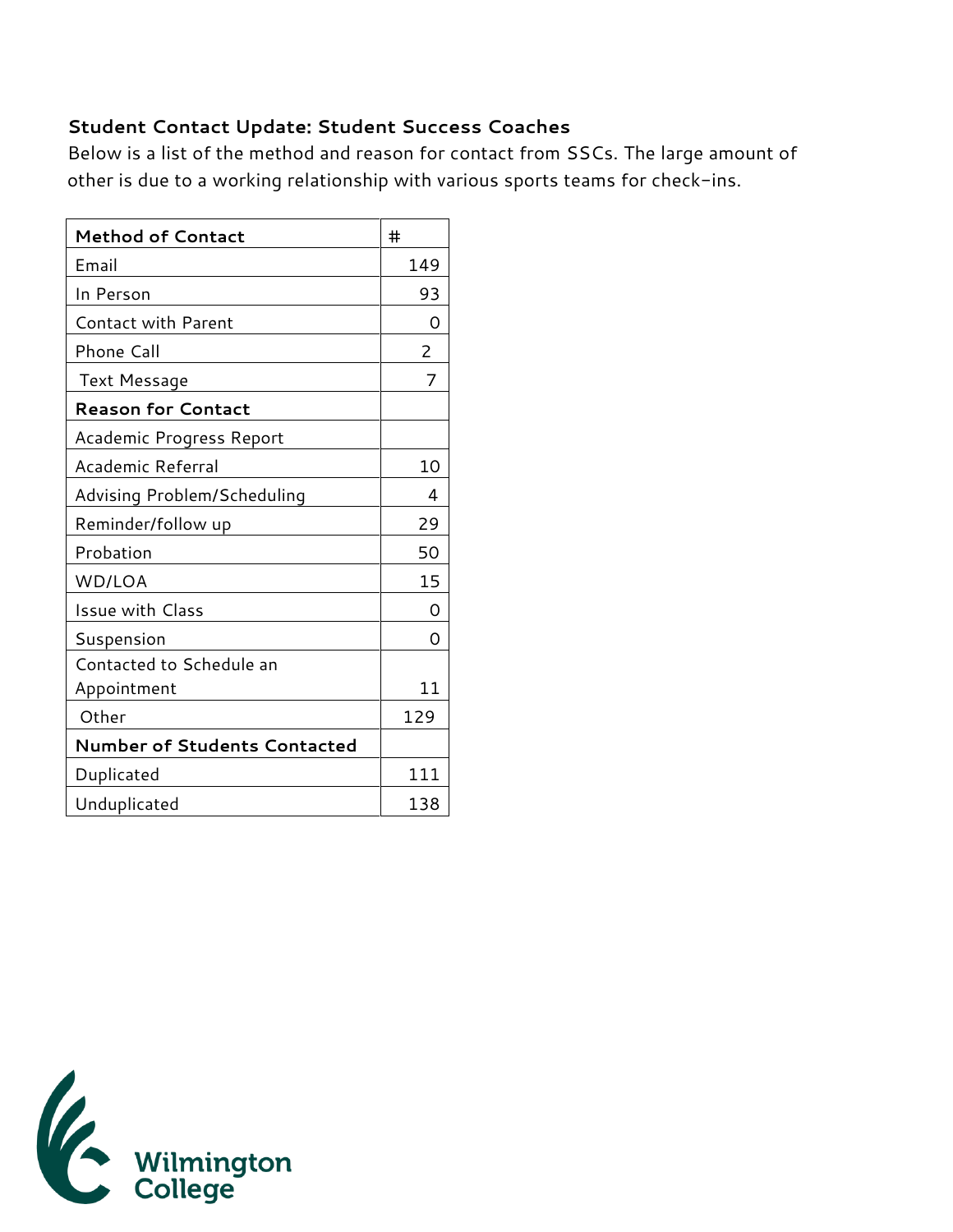## **Student Contact Update: Student Success Coaches**

Below is a list of the method and reason for contact from SSCs. The large amount of other is due to a working relationship with various sports teams for check-ins.

| <b>Method of Contact</b>            | #              |
|-------------------------------------|----------------|
| Email                               | 149            |
| In Person                           | 93             |
| <b>Contact with Parent</b>          | Ω              |
| Phone Call                          | $\overline{2}$ |
| Text Message                        | 7              |
| <b>Reason for Contact</b>           |                |
| Academic Progress Report            |                |
| Academic Referral                   | 10             |
| Advising Problem/Scheduling         | 4              |
| Reminder/follow up                  | 29             |
| Probation                           | 50             |
| WD/LOA                              | 15             |
| <b>Issue with Class</b>             | ∩              |
| Suspension                          | $\Omega$       |
| Contacted to Schedule an            |                |
| Appointment                         | 11             |
| Other                               | 129            |
| <b>Number of Students Contacted</b> |                |
| Duplicated                          | 111            |
| Unduplicated                        | 138            |